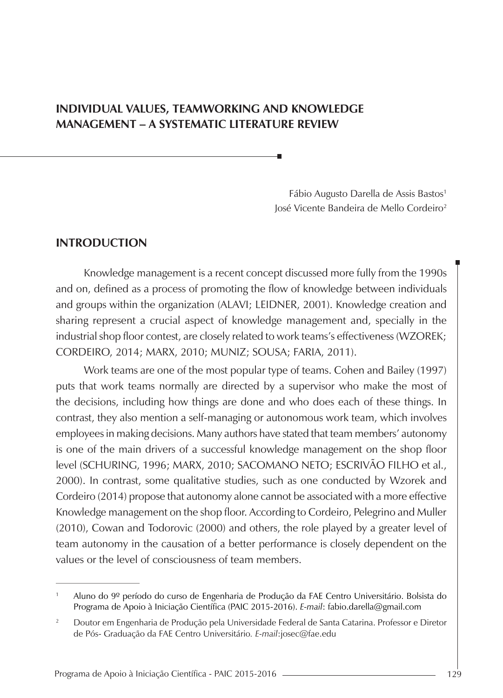# **INDIVIDUAL VALUES, TEAMWORKING AND KNOWLEDGE MANAGEMENT – A SYSTEMATIC LITERATURE REVIEW**

Fábio Augusto Darella de Assis Bastos<sup>1</sup> José Vicente Bandeira de Mello Cordeiro2

#### **INTRODUCTION**

Knowledge management is a recent concept discussed more fully from the 1990s and on, defined as a process of promoting the flow of knowledge between individuals and groups within the organization (ALAVI; LEIDNER, 2001). Knowledge creation and sharing represent a crucial aspect of knowledge management and, specially in the industrial shop floor contest, are closely related to work teams's effectiveness (WZOREK; CORDEIRO, 2014; MARX, 2010; MUNIZ; SOUSA; FARIA, 2011).

Work teams are one of the most popular type of teams. Cohen and Bailey (1997) puts that work teams normally are directed by a supervisor who make the most of the decisions, including how things are done and who does each of these things. In contrast, they also mention a self-managing or autonomous work team, which involves employees in making decisions. Many authors have stated that team members' autonomy is one of the main drivers of a successful knowledge management on the shop floor level (SCHURING, 1996; MARX, 2010; SACOMANO NETO; ESCRIVÃO FILHO et al., 2000). In contrast, some qualitative studies, such as one conducted by Wzorek and Cordeiro (2014) propose that autonomy alone cannot be associated with a more effective Knowledge management on the shop floor. According to Cordeiro, Pelegrino and Muller (2010), Cowan and Todorovic (2000) and others, the role played by a greater level of team autonomy in the causation of a better performance is closely dependent on the values or the level of consciousness of team members.

<sup>1</sup> Aluno do 9º período do curso de Engenharia de Produção da FAE Centro Universitário. Bolsista do Programa de Apoio à Iniciação Científica (PAIC 2015-2016). *E-mail*: fabio.darella@gmail.com

<sup>2</sup> Doutor em Engenharia de Produção pela Universidade Federal de Santa Catarina. Professor e Diretor de Pós- Graduação da FAE Centro Universitário*. E-mail*:josec@fae.edu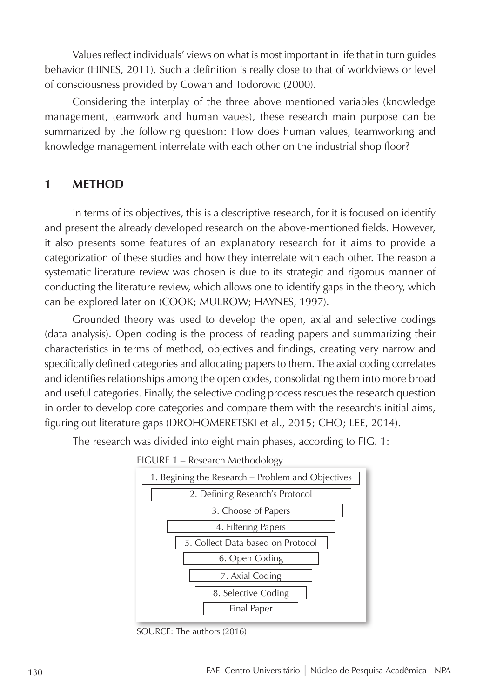Values reflect individuals' views on what is most important in life that in turn guides behavior (HINES, 2011). Such a definition is really close to that of worldviews or level of consciousness provided by Cowan and Todorovic (2000).

Considering the interplay of the three above mentioned variables (knowledge management, teamwork and human vaues), these research main purpose can be summarized by the following question: How does human values, teamworking and knowledge management interrelate with each other on the industrial shop floor?

### **1 METHOD**

In terms of its objectives, this is a descriptive research, for it is focused on identify and present the already developed research on the above-mentioned fields. However, it also presents some features of an explanatory research for it aims to provide a categorization of these studies and how they interrelate with each other. The reason a systematic literature review was chosen is due to its strategic and rigorous manner of conducting the literature review, which allows one to identify gaps in the theory, which can be explored later on (COOK; MULROW; HAYNES, 1997).

Grounded theory was used to develop the open, axial and selective codings (data analysis). Open coding is the process of reading papers and summarizing their characteristics in terms of method, objectives and findings, creating very narrow and specifically defined categories and allocating papers to them. The axial coding correlates and identifies relationships among the open codes, consolidating them into more broad and useful categories. Finally, the selective coding process rescues the research question in order to develop core categories and compare them with the research's initial aims, figuring out literature gaps (DROHOMERETSKI et al., 2015; CHO; LEE, 2014).

The research was divided into eight main phases, according to FIG. 1:





SOURCE: The authors (2016)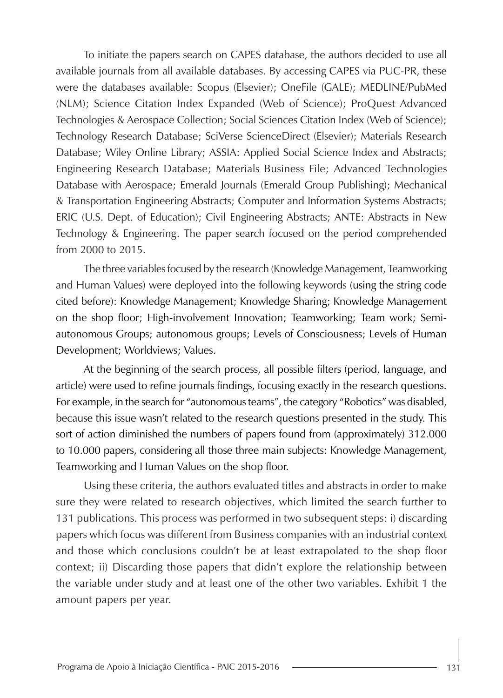To initiate the papers search on CAPES database, the authors decided to use all available journals from all available databases. By accessing CAPES via PUC-PR, these were the databases available: Scopus (Elsevier); OneFile (GALE); MEDLINE/PubMed (NLM); Science Citation Index Expanded (Web of Science); ProQuest Advanced Technologies & Aerospace Collection; Social Sciences Citation Index (Web of Science); Technology Research Database; SciVerse ScienceDirect (Elsevier); Materials Research Database; Wiley Online Library; ASSIA: Applied Social Science Index and Abstracts; Engineering Research Database; Materials Business File; Advanced Technologies Database with Aerospace; Emerald Journals (Emerald Group Publishing); Mechanical & Transportation Engineering Abstracts; Computer and Information Systems Abstracts; ERIC (U.S. Dept. of Education); Civil Engineering Abstracts; ANTE: Abstracts in New Technology & Engineering. The paper search focused on the period comprehended from 2000 to 2015.

The three variables focused by the research (Knowledge Management, Teamworking and Human Values) were deployed into the following keywords (using the string code cited before): Knowledge Management; Knowledge Sharing; Knowledge Management on the shop floor; High-involvement Innovation; Teamworking; Team work; Semiautonomous Groups; autonomous groups; Levels of Consciousness; Levels of Human Development; Worldviews; Values.

At the beginning of the search process, all possible filters (period, language, and article) were used to refine journals findings, focusing exactly in the research questions. For example, in the search for "autonomous teams", the category "Robotics" was disabled, because this issue wasn't related to the research questions presented in the study. This sort of action diminished the numbers of papers found from (approximately) 312.000 to 10.000 papers, considering all those three main subjects: Knowledge Management, Teamworking and Human Values on the shop floor.

Using these criteria, the authors evaluated titles and abstracts in order to make sure they were related to research objectives, which limited the search further to 131 publications. This process was performed in two subsequent steps: i) discarding papers which focus was different from Business companies with an industrial context and those which conclusions couldn't be at least extrapolated to the shop floor context; ii) Discarding those papers that didn't explore the relationship between the variable under study and at least one of the other two variables. Exhibit 1 the amount papers per year.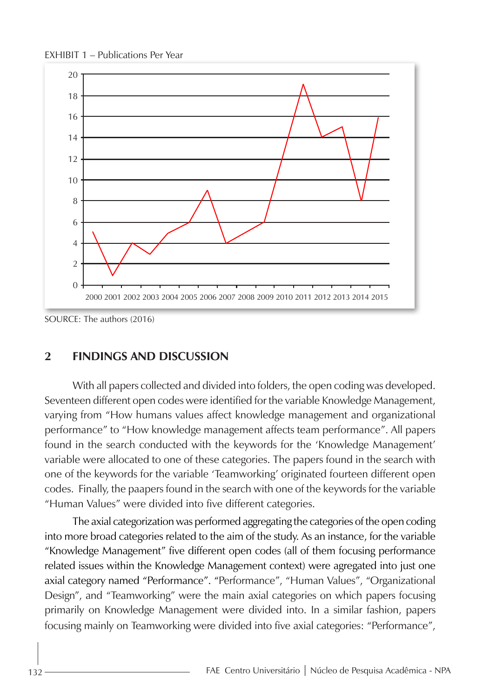EXHIBIT 1 – Publications Per Year



SOURCE: The authors (2016)

### **2 FINDINGS AND DISCUSSION**

With all papers collected and divided into folders, the open coding was developed. Seventeen different open codes were identified for the variable Knowledge Management, varying from "How humans values affect knowledge management and organizational performance" to "How knowledge management affects team performance". All papers found in the search conducted with the keywords for the 'Knowledge Management' variable were allocated to one of these categories. The papers found in the search with one of the keywords for the variable 'Teamworking' originated fourteen different open codes. Finally, the paapers found in the search with one of the keywords for the variable "Human Values" were divided into five different categories.

The axial categorization was performed aggregating the categories of the open coding into more broad categories related to the aim of the study. As an instance, for the variable "Knowledge Management" five different open codes (all of them focusing performance related issues within the Knowledge Management context) were agregated into just one axial category named "Performance". "Performance", "Human Values", "Organizational Design", and "Teamworking" were the main axial categories on which papers focusing primarily on Knowledge Management were divided into. In a similar fashion, papers focusing mainly on Teamworking were divided into five axial categories: "Performance",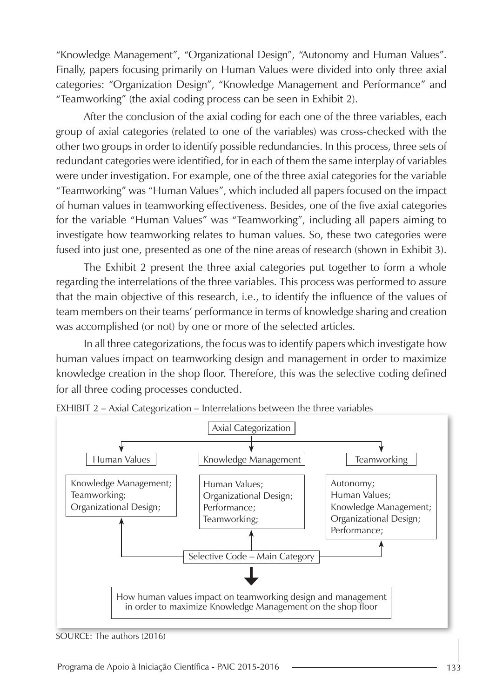"Knowledge Management", "Organizational Design", "Autonomy and Human Values". Finally, papers focusing primarily on Human Values were divided into only three axial categories: "Organization Design", "Knowledge Management and Performance" and "Teamworking" (the axial coding process can be seen in Exhibit 2).

After the conclusion of the axial coding for each one of the three variables, each group of axial categories (related to one of the variables) was cross-checked with the other two groups in order to identify possible redundancies. In this process, three sets of redundant categories were identified, for in each of them the same interplay of variables were under investigation. For example, one of the three axial categories for the variable "Teamworking" was "Human Values", which included all papers focused on the impact of human values in teamworking effectiveness. Besides, one of the five axial categories for the variable "Human Values" was "Teamworking", including all papers aiming to investigate how teamworking relates to human values. So, these two categories were fused into just one, presented as one of the nine areas of research (shown in Exhibit 3).

The Exhibit 2 present the three axial categories put together to form a whole regarding the interrelations of the three variables. This process was performed to assure that the main objective of this research, i.e., to identify the influence of the values of team members on their teams' performance in terms of knowledge sharing and creation was accomplished (or not) by one or more of the selected articles.

In all three categorizations, the focus was to identify papers which investigate how human values impact on teamworking design and management in order to maximize knowledge creation in the shop floor. Therefore, this was the selective coding defined for all three coding processes conducted.



EXHIBIT 2 – Axial Categorization – Interrelations between the three variables

SOURCE: The authors (2016)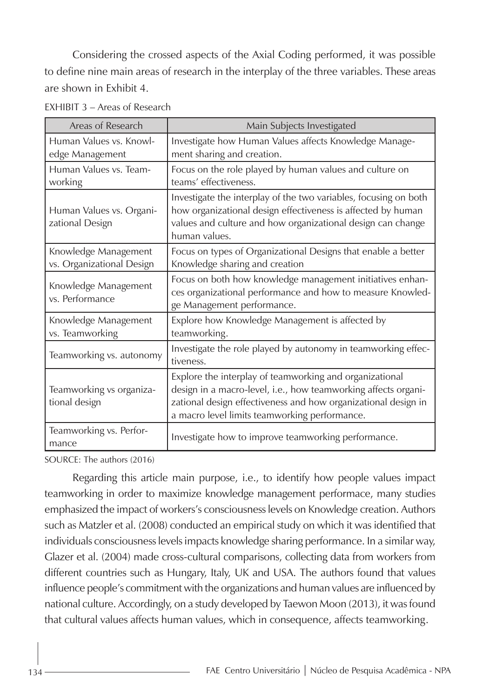Considering the crossed aspects of the Axial Coding performed, it was possible to define nine main areas of research in the interplay of the three variables. These areas are shown in Exhibit 4.

| Areas of Research                                 | Main Subjects Investigated                                                                                                                                                                                                                   |
|---------------------------------------------------|----------------------------------------------------------------------------------------------------------------------------------------------------------------------------------------------------------------------------------------------|
| Human Values vs. Knowl-<br>edge Management        | Investigate how Human Values affects Knowledge Manage-<br>ment sharing and creation.                                                                                                                                                         |
| Human Values vs. Team-<br>working                 | Focus on the role played by human values and culture on<br>teams' effectiveness.                                                                                                                                                             |
| Human Values vs. Organi-<br>zational Design       | Investigate the interplay of the two variables, focusing on both<br>how organizational design effectiveness is affected by human<br>values and culture and how organizational design can change<br>human values.                             |
| Knowledge Management<br>vs. Organizational Design | Focus on types of Organizational Designs that enable a better<br>Knowledge sharing and creation                                                                                                                                              |
| Knowledge Management<br>vs. Performance           | Focus on both how knowledge management initiatives enhan-<br>ces organizational performance and how to measure Knowled-<br>ge Management performance.                                                                                        |
| Knowledge Management<br>vs. Teamworking           | Explore how Knowledge Management is affected by<br>teamworking.                                                                                                                                                                              |
| Teamworking vs. autonomy                          | Investigate the role played by autonomy in teamworking effec-<br>tiveness.                                                                                                                                                                   |
| Teamworking vs organiza-<br>tional design         | Explore the interplay of teamworking and organizational<br>design in a macro-level, i.e., how teamworking affects organi-<br>zational design effectiveness and how organizational design in<br>a macro level limits teamworking performance. |
| Teamworking vs. Perfor-<br>mance                  | Investigate how to improve teamworking performance.                                                                                                                                                                                          |

EXHIBIT 3 – Areas of Research

SOURCE: The authors (2016)

Regarding this article main purpose, i.e., to identify how people values impact teamworking in order to maximize knowledge management performace, many studies emphasized the impact of workers's consciousness levels on Knowledge creation. Authors such as Matzler et al. (2008) conducted an empirical study on which it was identified that individuals consciousness levels impacts knowledge sharing performance. In a similar way, Glazer et al. (2004) made cross-cultural comparisons, collecting data from workers from different countries such as Hungary, Italy, UK and USA. The authors found that values influence people's commitment with the organizations and human values are influenced by national culture. Accordingly, on a study developed by Taewon Moon (2013), it was found that cultural values affects human values, which in consequence, affects teamworking.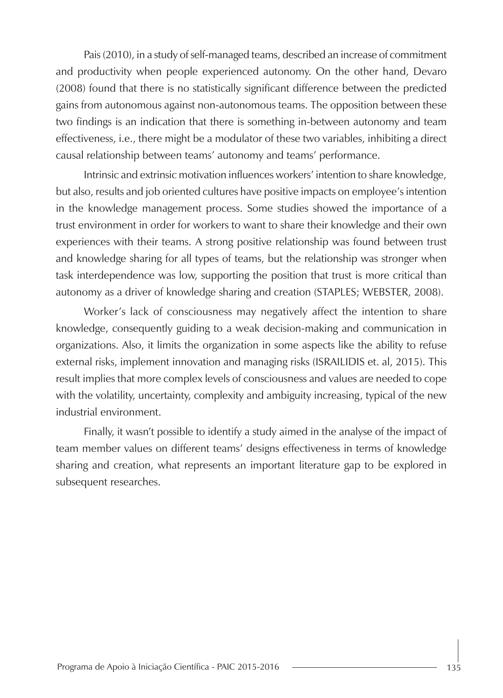Pais (2010), in a study of self-managed teams, described an increase of commitment and productivity when people experienced autonomy. On the other hand, Devaro (2008) found that there is no statistically significant difference between the predicted gains from autonomous against non-autonomous teams. The opposition between these two findings is an indication that there is something in-between autonomy and team effectiveness, i.e., there might be a modulator of these two variables, inhibiting a direct causal relationship between teams' autonomy and teams' performance.

Intrinsic and extrinsic motivation influences workers' intention to share knowledge, but also, results and job oriented cultures have positive impacts on employee's intention in the knowledge management process. Some studies showed the importance of a trust environment in order for workers to want to share their knowledge and their own experiences with their teams. A strong positive relationship was found between trust and knowledge sharing for all types of teams, but the relationship was stronger when task interdependence was low, supporting the position that trust is more critical than autonomy as a driver of knowledge sharing and creation (STAPLES; WEBSTER, 2008).

Worker's lack of consciousness may negatively affect the intention to share knowledge, consequently guiding to a weak decision-making and communication in organizations. Also, it limits the organization in some aspects like the ability to refuse external risks, implement innovation and managing risks (ISRAILIDIS et. al, 2015). This result implies that more complex levels of consciousness and values are needed to cope with the volatility, uncertainty, complexity and ambiguity increasing, typical of the new industrial environment.

Finally, it wasn't possible to identify a study aimed in the analyse of the impact of team member values on different teams' designs effectiveness in terms of knowledge sharing and creation, what represents an important literature gap to be explored in subsequent researches.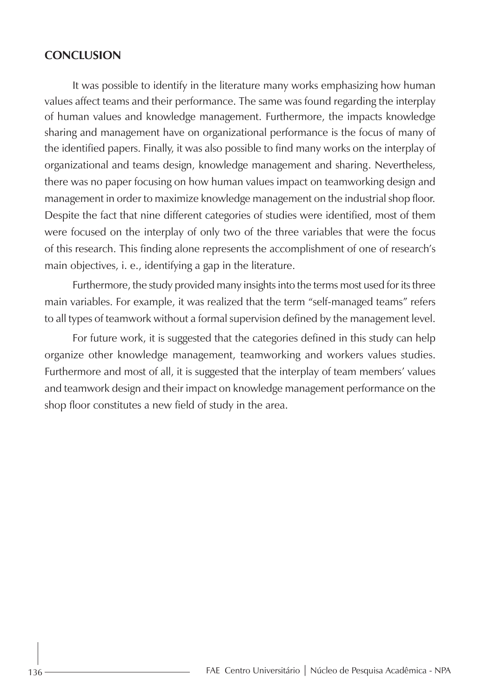#### **CONCLUSION**

It was possible to identify in the literature many works emphasizing how human values affect teams and their performance. The same was found regarding the interplay of human values and knowledge management. Furthermore, the impacts knowledge sharing and management have on organizational performance is the focus of many of the identified papers. Finally, it was also possible to find many works on the interplay of organizational and teams design, knowledge management and sharing. Nevertheless, there was no paper focusing on how human values impact on teamworking design and management in order to maximize knowledge management on the industrial shop floor. Despite the fact that nine different categories of studies were identified, most of them were focused on the interplay of only two of the three variables that were the focus of this research. This finding alone represents the accomplishment of one of research's main objectives, i. e., identifying a gap in the literature.

Furthermore, the study provided many insights into the terms most used for its three main variables. For example, it was realized that the term "self-managed teams" refers to all types of teamwork without a formal supervision defined by the management level.

For future work, it is suggested that the categories defined in this study can help organize other knowledge management, teamworking and workers values studies. Furthermore and most of all, it is suggested that the interplay of team members' values and teamwork design and their impact on knowledge management performance on the shop floor constitutes a new field of study in the area.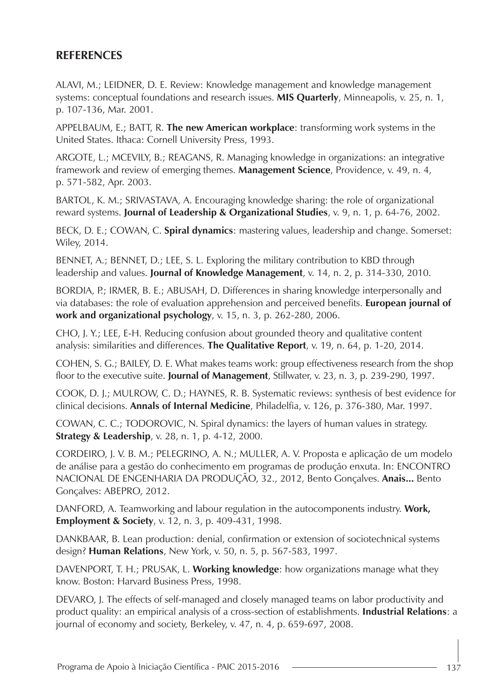## **REFERENCES**

ALAVI, M.; LEIDNER, D. E. Review: Knowledge management and knowledge management systems: conceptual foundations and research issues. **MIS Quarterly**, Minneapolis, v. 25, n. 1, p. 107-136, Mar. 2001.

APPELBAUM, E.; BATT, R. **The new American workplace**: transforming work systems in the United States. Ithaca: Cornell University Press, 1993.

ARGOTE, L.; MCEVILY, B.; REAGANS, R. Managing knowledge in organizations: an integrative framework and review of emerging themes. **Management Science**, Providence, v. 49, n. 4, p. 571-582, Apr. 2003.

BARTOL, K. M.; SRIVASTAVA, A. Encouraging knowledge sharing: the role of organizational reward systems. **Journal of Leadership & Organizational Studies**, v. 9, n. 1, p. 64-76, 2002.

BECK, D. E.; COWAN, C. **Spiral dynamics**: mastering values, leadership and change. Somerset: Wiley, 2014.

BENNET, A.; BENNET, D.; LEE, S. L. Exploring the military contribution to KBD through leadership and values. **Journal of Knowledge Management**, v. 14, n. 2, p. 314-330, 2010.

BORDIA, P.; IRMER, B. E.; ABUSAH, D. Differences in sharing knowledge interpersonally and via databases: the role of evaluation apprehension and perceived benefits. **European journal of work and organizational psychology**, v. 15, n. 3, p. 262-280, 2006.

CHO, J. Y.; LEE, E-H. Reducing confusion about grounded theory and qualitative content analysis: similarities and differences. **The Qualitative Report**, v. 19, n. 64, p. 1-20, 2014.

COHEN, S. G.; BAILEY, D. E. What makes teams work: group effectiveness research from the shop floor to the executive suite. **Journal of Management**, Stillwater, v. 23, n. 3, p. 239-290, 1997.

COOK, D. J.; MULROW, C. D.; HAYNES, R. B. Systematic reviews: synthesis of best evidence for clinical decisions. **Annals of Internal Medicine**, Philadelfia, v. 126, p. 376-380, Mar. 1997.

COWAN, C. C.; TODOROVIC, N. Spiral dynamics: the layers of human values in strategy. **Strategy & Leadership**, v. 28, n. 1, p. 4-12, 2000.

CORDEIRO, J. V. B. M.; PELEGRINO, A. N.; MULLER, A. V. Proposta e aplicação de um modelo de análise para a gestão do conhecimento em programas de produção enxuta. In: ENCONTRO NACIONAL DE ENGENHARIA DA PRODUÇÃO, 32., 2012, Bento Gonçalves. **Anais...** Bento Gonçalves: ABEPRO, 2012.

DANFORD, A. Teamworking and labour regulation in the autocomponents industry. **Work, Employment & Society**, v. 12, n. 3, p. 409-431, 1998.

DANKBAAR, B. Lean production: denial, confirmation or extension of sociotechnical systems design? **Human Relations**, New York, v. 50, n. 5, p. 567-583, 1997.

DAVENPORT, T. H.; PRUSAK, L. **Working knowledge**: how organizations manage what they know. Boston: Harvard Business Press, 1998.

DEVARO, J. The effects of self-managed and closely managed teams on labor productivity and product quality: an empirical analysis of a cross-section of establishments. **Industrial Relations**: a journal of economy and society, Berkeley, v. 47, n. 4, p. 659-697, 2008.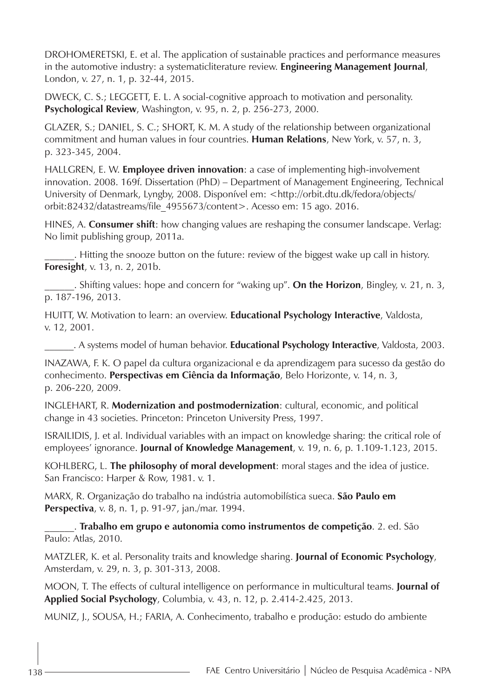DROHOMERETSKI, E. et al. The application of sustainable practices and performance measures in the automotive industry: a systematicliterature review. **Engineering Management Journal**, London, v. 27, n. 1, p. 32-44, 2015.

DWECK, C. S.; LEGGETT, E. L. A social-cognitive approach to motivation and personality. **Psychological Review**, Washington, v. 95, n. 2, p. 256-273, 2000.

GLAZER, S.; DANIEL, S. C.; SHORT, K. M. A study of the relationship between organizational commitment and human values in four countries. **Human Relations**, New York, v. 57, n. 3, p. 323-345, 2004.

HALLGREN, E. W. **Employee driven innovation**: a case of implementing high-involvement innovation. 2008. 169f. Dissertation (PhD) – Department of Management Engineering, Technical University of Denmark, Lyngby, 2008. Disponível em: <http://orbit.dtu.dk/fedora/objects/ orbit:82432/datastreams/file\_4955673/content>. Acesso em: 15 ago. 2016.

HINES, A. **Consumer shift**: how changing values are reshaping the consumer landscape. Verlag: No limit publishing group, 2011a.

\_\_\_\_\_\_. Hitting the snooze button on the future: review of the biggest wake up call in history. **Foresight**, v. 13, n. 2, 201b.

\_\_\_\_\_\_. Shifting values: hope and concern for "waking up". **On the Horizon**, Bingley, v. 21, n. 3, p. 187-196, 2013.

HUITT, W. Motivation to learn: an overview. **Educational Psychology Interactive**, Valdosta, v. 12, 2001.

\_\_\_\_\_\_. A systems model of human behavior. **Educational Psychology Interactive**, Valdosta, 2003.

INAZAWA, F. K. O papel da cultura organizacional e da aprendizagem para sucesso da gestão do conhecimento. **Perspectivas em Ciência da Informação**, Belo Horizonte, v. 14, n. 3, p. 206-220, 2009.

INGLEHART, R. **Modernization and postmodernization**: cultural, economic, and political change in 43 societies. Princeton: Princeton University Press, 1997.

ISRAILIDIS, J. et al. Individual variables with an impact on knowledge sharing: the critical role of employees' ignorance. **Journal of Knowledge Management**, v. 19, n. 6, p. 1.109-1.123, 2015.

KOHLBERG, L. **The philosophy of moral development**: moral stages and the idea of justice. San Francisco: Harper & Row, 1981. v. 1.

MARX, R. Organização do trabalho na indústria automobilística sueca. **São Paulo em Perspectiva**, v. 8, n. 1, p. 91-97, jan./mar. 1994.

\_\_\_\_\_\_. **Trabalho em grupo e autonomia como instrumentos de competição**. 2. ed. São Paulo: Atlas, 2010.

MATZLER, K. et al. Personality traits and knowledge sharing. **Journal of Economic Psychology**, Amsterdam, v. 29, n. 3, p. 301-313, 2008.

MOON, T. The effects of cultural intelligence on performance in multicultural teams. **Journal of Applied Social Psychology**, Columbia, v. 43, n. 12, p. 2.414-2.425, 2013.

MUNIZ, J., SOUSA, H.; FARIA, A. Conhecimento, trabalho e produção: estudo do ambiente